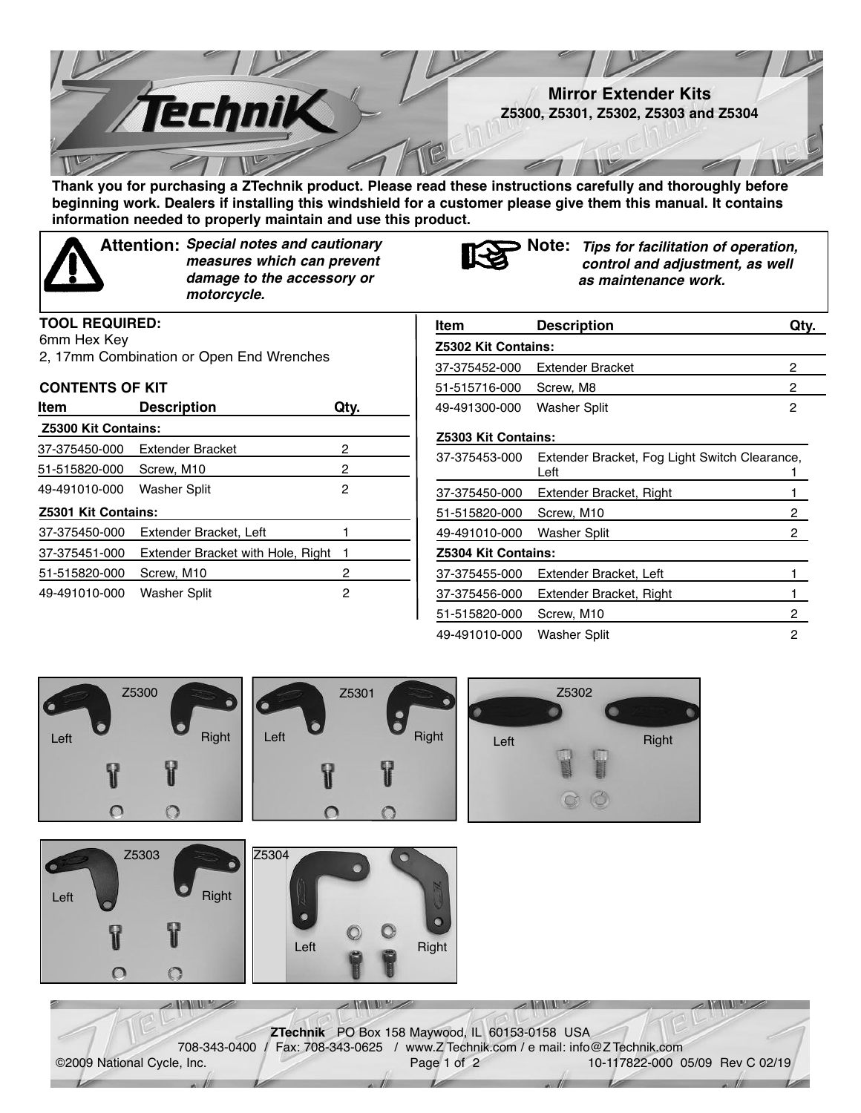

**Thank you for purchasing a ZTechnik product. Please read these instructions carefully and thoroughly before** beginning work. Dealers if installing this windshield for a customer please give them this manual. It contains **information needed to properly maintain and use this product.**



*Special notes and cautionary* **Attention: Note:** *measures which can prevent damage to the accessory or motorcycle.*



*Tips for facilitation of operation, control and adjustment, as well as maintenance work.*

| .           |  |
|-------------|--|
| 6mm Hex Key |  |

2, 17mm Combination or Open End Wrenches

## **CONTENTS OF KIT**

**TOOL REQUIRED:**

| Item                | <b>Description</b>                | Qtv. |  |  |  |
|---------------------|-----------------------------------|------|--|--|--|
| Z5300 Kit Contains: |                                   |      |  |  |  |
| 37-375450-000       | Extender Bracket                  | 2    |  |  |  |
| 51-515820-000       | Screw, M <sub>10</sub>            | 2    |  |  |  |
| 49-491010-000       | Washer Split                      | 2    |  |  |  |
| Z5301 Kit Contains: |                                   |      |  |  |  |
| 37-375450-000       | Extender Bracket, Left            |      |  |  |  |
| 37-375451-000       | Extender Bracket with Hole, Right | 1    |  |  |  |
| 51-515820-000       | Screw, M10                        | 2    |  |  |  |
| 49-491010-000       | Washer Split                      | 2    |  |  |  |

| Item                | <b>Description</b>                                    | Qty.   |
|---------------------|-------------------------------------------------------|--------|
| Z5302 Kit Contains: |                                                       |        |
| 37-375452-000       | <b>Extender Bracket</b>                               | 2      |
| 51-515716-000       | Screw, M8                                             | 2      |
| 49-491300-000       | Washer Split                                          | 2      |
| Z5303 Kit Contains: |                                                       |        |
| 37-375453-000       | Extender Bracket, Fog Light Switch Clearance,<br>Left | 1      |
| 37-375450-000       | Extender Bracket, Right                               | 1      |
| 51-515820-000       | Screw, M10                                            | $^{2}$ |
| 49-491010-000       | Washer Split                                          | 2      |
| Z5304 Kit Contains: |                                                       |        |
| 37-375455-000       | Extender Bracket, Left                                |        |
| 37-375456-000       | Extender Bracket, Right                               | 1      |
| 51-515820-000       | Screw, M <sub>10</sub>                                | 2      |
| 49-491010-000       | Washer Split                                          | 2      |